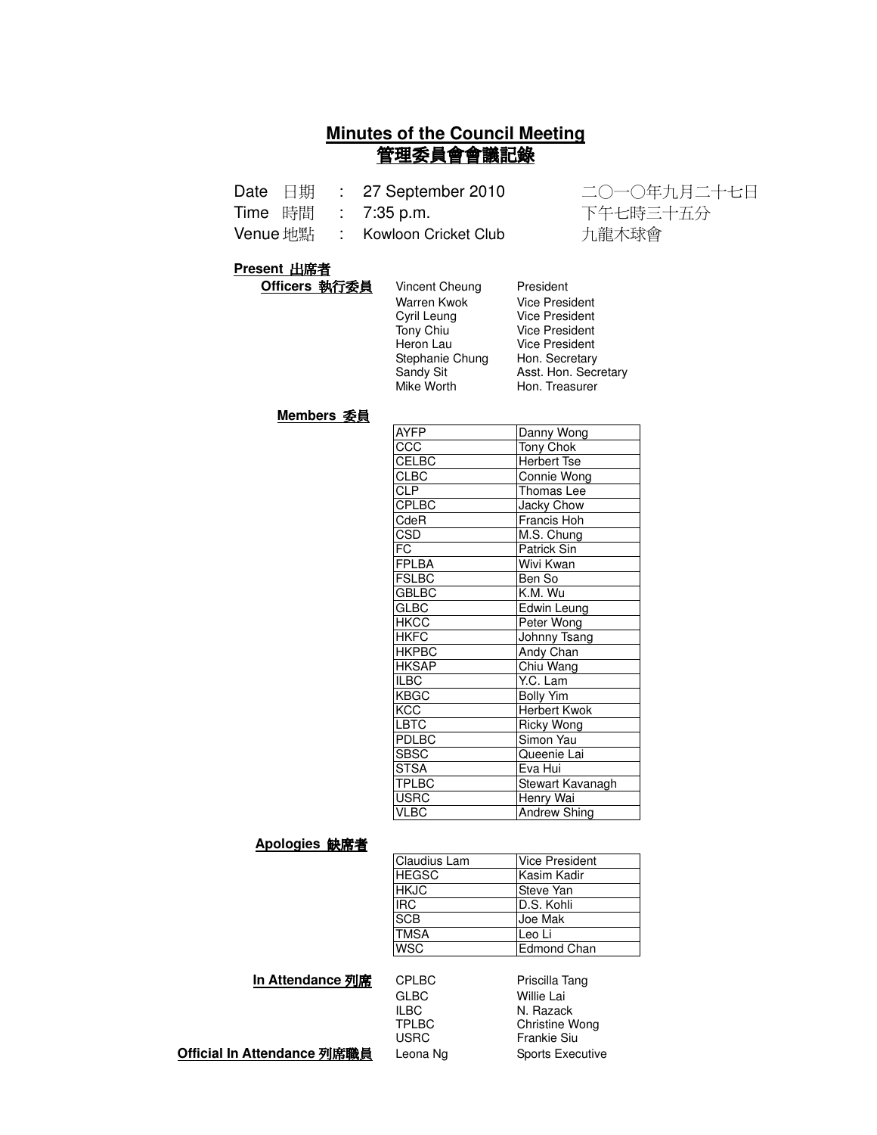# **Minutes of the Council Meeting** 管理委員會會議記錄

| Date | 日期 |  | 27 September 2010 |
|------|----|--|-------------------|
|------|----|--|-------------------|

Time 時間 : 7:35 p.m.

Venue 地點 : Kowloon Cricket Club 九龍木球會

: 27 September 2010 二〇一〇年九月二十七日 下午七時三十五分

Secretary

#### **Present 出席者**

| Vincent Cheung  | President             |
|-----------------|-----------------------|
| Warren Kwok     | <b>Vice President</b> |
| Cyril Leung     | <b>Vice President</b> |
| Tony Chiu       | <b>Vice President</b> |
| Heron Lau       | Vice President        |
| Stephanie Chung | Hon. Secretary        |
| Sandy Sit       | Asst. Hon. Seci       |
|                 | Hon. Treasurer        |
|                 | Mike Worth            |

#### **Members 委員**

| <b>AYFP</b>  | Danny Wong            |
|--------------|-----------------------|
| CCC          | Tony Chok             |
| CELBC        | <b>Herbert Tse</b>    |
| <b>CLBC</b>  | Connie Wong           |
| <b>CLP</b>   | Thomas Lee            |
| <b>CPLBC</b> | Jacky Chow            |
| CdeR         | Francis Hoh           |
| CSD          | M.S. Chung            |
| FC           | <b>Patrick Sin</b>    |
| <b>FPLBA</b> | Wivi Kwan             |
| <b>FSLBC</b> | Ben So                |
| <b>GBLBC</b> | $\overline{K.M. W}$ u |
| <b>GLBC</b>  | Edwin Leung           |
| <b>HKCC</b>  | Peter Wong            |
| <b>HKFC</b>  | Johnny Tsang          |
| <b>HKPBC</b> | Andy Chan             |
| <b>HKSAP</b> | Chiu Wang             |
| <b>ILBC</b>  | Y.C. Lam              |
| <b>KBGC</b>  | <b>Bolly Yim</b>      |
| KCC          | <b>Herbert Kwok</b>   |
| <b>LBTC</b>  | Ricky Wong            |
| <b>PDLBC</b> | Simon Yau             |
| <b>SBSC</b>  | Queenie Lai           |
| <b>STSA</b>  | Eva Hui               |
| <b>TPLBC</b> | Stewart Kavanagh      |
| <b>USRC</b>  | Henry Wai             |
| <b>VLBC</b>  | <b>Andrew Shing</b>   |

#### Apologies 缺席者

| Claudius Lam | <b>Vice President</b> |
|--------------|-----------------------|
| <b>HEGSC</b> | Kasim Kadir           |
| <b>HKJC</b>  | <b>Steve Yan</b>      |
| <b>IRC</b>   | D.S. Kohli            |
| <b>SCB</b>   | Joe Mak               |
| <b>TMSA</b>  | Leo Li                |
| <b>WSC</b>   | Edmond Chan           |

**In Attendance 列席** 

| <b>CPLBC</b> | Priscilla Tang          |
|--------------|-------------------------|
| <b>GLBC</b>  | Willie Lai              |
| <b>ILBC</b>  | N. Razack               |
| <b>TPLBC</b> | <b>Christine Wong</b>   |
| <b>USRC</b>  | <b>Frankie Siu</b>      |
| Leona Ng     | <b>Sports Executive</b> |

**Official In Attendance 列席職員** l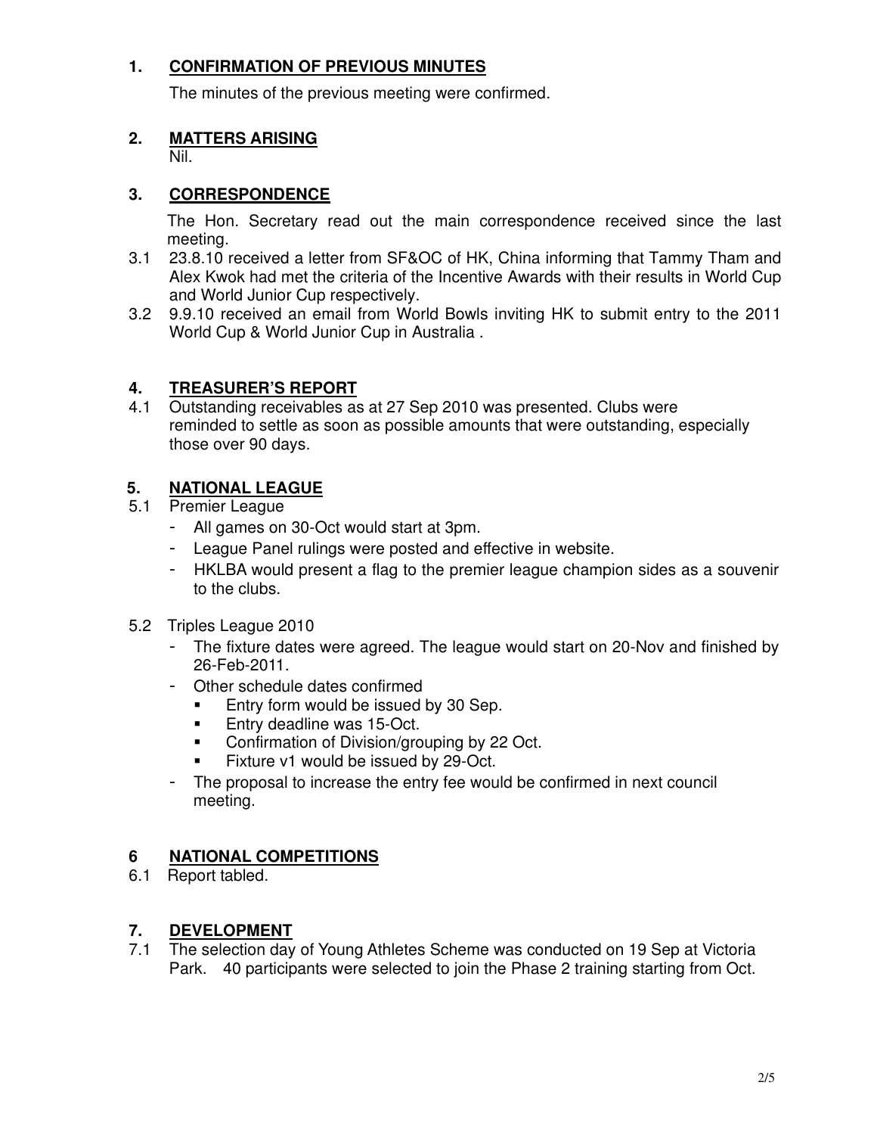# **1. CONFIRMATION OF PREVIOUS MINUTES**

The minutes of the previous meeting were confirmed.

### **2. MATTERS ARISING**

Nil.

#### **3. CORRESPONDENCE**

The Hon. Secretary read out the main correspondence received since the last meeting.

- 3.1 23.8.10 received a letter from SF&OC of HK, China informing that Tammy Tham and Alex Kwok had met the criteria of the Incentive Awards with their results in World Cup and World Junior Cup respectively.
- 3.2 9.9.10 received an email from World Bowls inviting HK to submit entry to the 2011 World Cup & World Junior Cup in Australia .

#### **4. TREASURER'S REPORT**

4.1 Outstanding receivables as at 27 Sep 2010 was presented. Clubs were reminded to settle as soon as possible amounts that were outstanding, especially those over 90 days.

### **5. NATIONAL LEAGUE**

- 5.1 Premier League
	- All games on 30-Oct would start at 3pm.
	- League Panel rulings were posted and effective in website.
	- HKLBA would present a flag to the premier league champion sides as a souvenir to the clubs.
- 5.2 Triples League 2010
	- The fixture dates were agreed. The league would start on 20-Nov and finished by 26-Feb-2011.
	- Other schedule dates confirmed
		- Entry form would be issued by 30 Sep.
		- **Entry deadline was 15-Oct.**
		- Confirmation of Division/grouping by 22 Oct.
		- Fixture v1 would be issued by 29-Oct.
	- The proposal to increase the entry fee would be confirmed in next council meeting.

### **6 NATIONAL COMPETITIONS**

6.1 Report tabled.

#### **7. DEVELOPMENT**

7.1 The selection day of Young Athletes Scheme was conducted on 19 Sep at Victoria Park. 40 participants were selected to join the Phase 2 training starting from Oct.